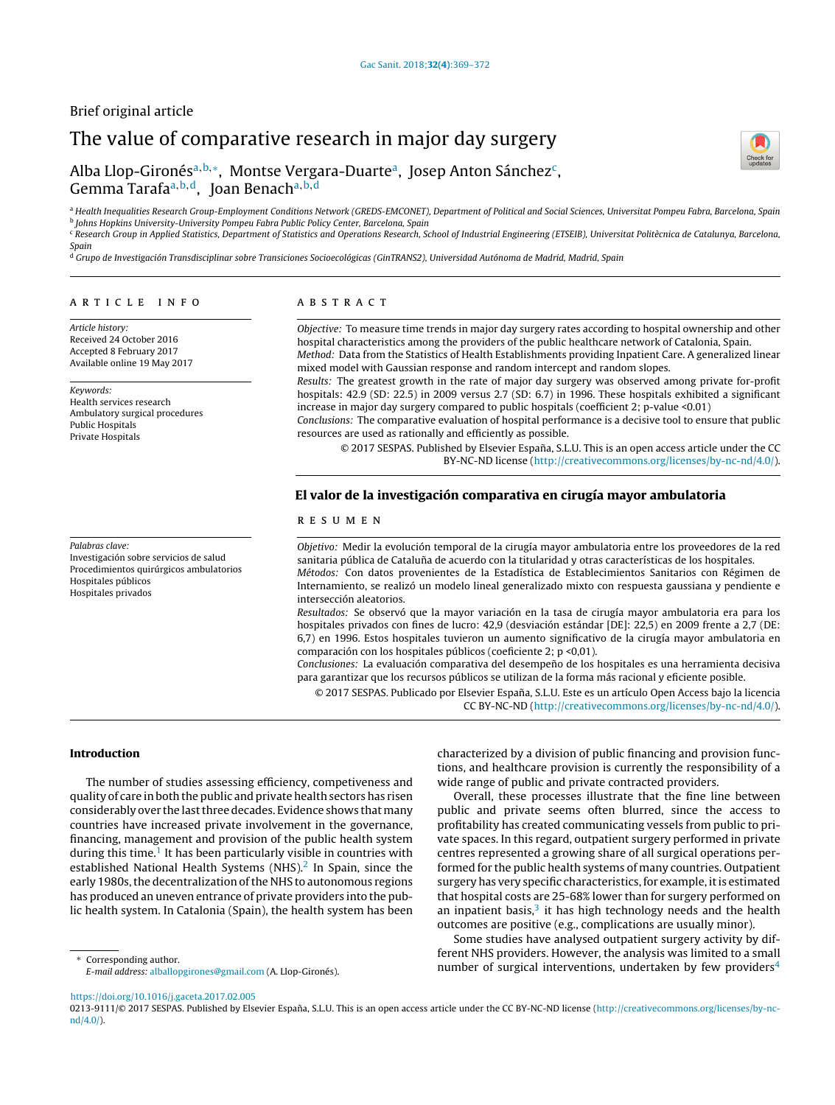# Brief original article The value of comparative research in major day surgery

# Alba Llop-Gironésª<sup>,b,</sup>\*, Montse Vergara-Duarte<sup>a</sup>, Josep Anton Sánchez<sup>c</sup>, Gemma Tarafa<sup>a,b,d</sup>, Joan Benach<sup>a,b,d</sup>

a Health Inequalities Research Group-Employment Conditions Network (GREDS-EMCONET), Department of Political and Social Sciences, Universitat Pompeu Fabra, Barcelona, Spain b Johns Hopkins University-University Pompeu Fabra Public Policy Center, Barcelona, Spain

<sup>c</sup> Research Group in Applied Statistics, Department of Statistics and Operations Research, School of Industrial Engineering (ETSEIB), Universitat Politècnica de Catalunya, Barcelona, Spain

<sup>d</sup> Grupo de Investigación Transdisciplinar sobre Transiciones Socioecológicas (GinTRANS2), Universidad Autónoma de Madrid, Madrid, Spain

#### a r t i c l e i n f o

Article history: Received 24 October 2016 Accepted 8 February 2017 Available online 19 May 2017

Keywords: Health services research Ambulatory surgical procedures Public Hospitals Private Hospitals

Palabras clave:

Investigación sobre servicios de salud Procedimientos quirúrgicos ambulatorios Hospitales públicos Hospitales privados

# A B S T R A C T

Objective: To measure time trends in major day surgery rates according to hospital ownership and other hospital characteristics among the providers of the public healthcare network of Catalonia, Spain. Method: Data from the Statistics of Health Establishments providing Inpatient Care. A generalized linear

mixed model with Gaussian response and random intercept and random slopes. Results: The greatest growth in the rate of major day surgery was observed among private for-profit hospitals: 42.9 (SD: 22.5) in 2009 versus 2.7 (SD: 6.7) in 1996. These hospitals exhibited a significant

increase in major day surgery compared to public hospitals (coefficient 2; p-value <0.01) Conclusions: The comparative evaluation of hospital performance is a decisive tool to ensure that public

resources are used as rationally and efficiently as possible.

© 2017 SESPAS. Published by Elsevier España, S.L.U. This is an open access article under the CC BY-NC-ND license [\(http://creativecommons.org/licenses/by-nc-nd/4.0/](http://creativecommons.org/licenses/by-nc-nd/4.0/)).

## El valor de la investigación comparativa en cirugía mayor ambulatoria

#### r e s u m e n

Objetivo: Medir la evolución temporal de la cirugía mayor ambulatoria entre los proveedores de la red sanitaria pública de Cataluña de acuerdo con la titularidad y otras características de los hospitales. Métodos: Con datos provenientes de la Estadística de Establecimientos Sanitarios con Régimen de Internamiento, se realizó un modelo lineal generalizado mixto con respuesta gaussiana y pendiente e intersección aleatorios.

Resultados: Se observó que la mayor variación en la tasa de cirugía mayor ambulatoria era para los hospitales privados con fines de lucro: 42,9 (desviación estándar [DE]: 22,5) en 2009 frente a 2,7 (DE: 6,7) en 1996. Estos hospitales tuvieron un aumento significativo de la cirugía mayor ambulatoria en comparación con los hospitales públicos (coeficiente 2; p <0,01).

Conclusiones: La evaluación comparativa del desempeño de los hospitales es una herramienta decisiva para garantizar que los recursos públicos se utilizan de la forma más racional y eficiente posible.

© 2017 SESPAS. Publicado por Elsevier España, S.L.U. Este es un artículo Open Access bajo la licencia CC BY-NC-ND [\(http://creativecommons.org/licenses/by-nc-nd/4.0/](http://creativecommons.org/licenses/by-nc-nd/4.0/)).

Introduction

The number of studies assessing efficiency, competiveness and quality of care in both the public and private health sectors has risen considerably over the lastthree decades. Evidence shows that many countries have increased private involvement in the governance, financing, management and provision of the public health system during this time.<sup>[1](#page-3-0)</sup> It has been particularly visible in countries with established National Health Systems (NHS). $<sup>2</sup>$  $<sup>2</sup>$  $<sup>2</sup>$  In Spain, since the</sup> early 1980s, the decentralization of the NHS to autonomous regions has produced an uneven entrance of private providers into the public health system. In Catalonia (Spain), the health system has been

Corresponding author. E-mail address: [alballopgirones@gmail.com](mailto:alballopgirones@gmail.com) (A. Llop-Gironés). characterized by a division of public financing and provision functions, and healthcare provision is currently the responsibility of a wide range of public and private contracted providers.

Overall, these processes illustrate that the fine line between public and private seems often blurred, since the access to profitability has created communicating vessels from public to private spaces. In this regard, outpatient surgery performed in private centres represented a growing share of all surgical operations performed for the public health systems of many countries. Outpatient surgery has very specific characteristics, for example, it is estimated that hospital costs are 25-68% lower than for surgery performed on an inpatient basis, $3$  it has high technology needs and the health outcomes are positive (e.g., complications are usually minor).

Some studies have analysed outpatient surgery activity by different NHS providers. However, the analysis was limited to a small number of surgical interventions, undertaken by few providers<sup>[4](#page-3-0)</sup>

<https://doi.org/10.1016/j.gaceta.2017.02.005>

0213-9111/© 2017 SESPAS. Published by Elsevier España, S.L.U. This is an open access article under the CC BY-NC-ND license [\(http://creativecommons.org/licenses/by-nc](http://creativecommons.org/licenses/by-nc-nd/4.0/)[nd/4.0/\)](http://creativecommons.org/licenses/by-nc-nd/4.0/).

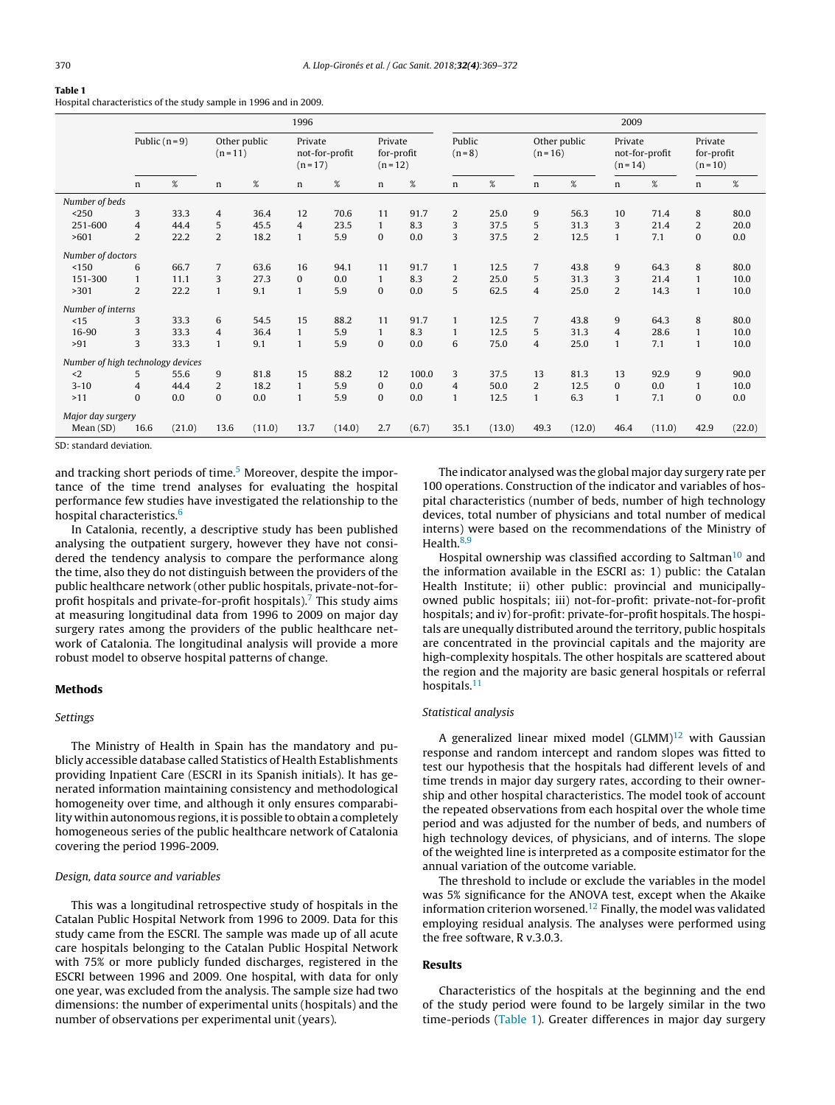# Table 1

Hospital characteristics of the study sample in 1996 and in 2009.

|                                   | 1996           |        |                            |        |                                         |        |                                   |       | 2009              |        |                          |        |                                         |        |                                   |        |
|-----------------------------------|----------------|--------|----------------------------|--------|-----------------------------------------|--------|-----------------------------------|-------|-------------------|--------|--------------------------|--------|-----------------------------------------|--------|-----------------------------------|--------|
|                                   | Public $(n=9)$ |        | Other public<br>$(n = 11)$ |        | Private<br>not-for-profit<br>$(n = 17)$ |        | Private<br>for-profit<br>$(n=12)$ |       | Public<br>$(n=8)$ |        | Other public<br>$(n=16)$ |        | Private<br>not-for-profit<br>$(n = 14)$ |        | Private<br>for-profit<br>$(n=10)$ |        |
|                                   | n              | %      | n                          | $\%$   | n                                       | $\%$   | $\mathbf n$                       | %     | n                 | $\%$   | n                        | $\%$   | $\mathbf n$                             | $\%$   | n                                 | $\%$   |
| Number of beds                    |                |        |                            |        |                                         |        |                                   |       |                   |        |                          |        |                                         |        |                                   |        |
| < 250                             | 3              | 33.3   | 4                          | 36.4   | 12                                      | 70.6   | 11                                | 91.7  | $\overline{2}$    | 25.0   | 9                        | 56.3   | 10                                      | 71.4   | 8                                 | 80.0   |
| 251-600                           | 4              | 44.4   | 5                          | 45.5   | $\overline{4}$                          | 23.5   | 1                                 | 8.3   | 3                 | 37.5   | 5                        | 31.3   | 3                                       | 21.4   | $\overline{2}$                    | 20.0   |
| >601                              | 2              | 22.2   | $\overline{2}$             | 18.2   | $\mathbf{1}$                            | 5.9    | $\mathbf{0}$                      | 0.0   | 3                 | 37.5   | 2                        | 12.5   | $\mathbf{1}$                            | 7.1    | $\bf{0}$                          | 0.0    |
| Number of doctors                 |                |        |                            |        |                                         |        |                                   |       |                   |        |                          |        |                                         |        |                                   |        |
| < 150                             | 6              | 66.7   | $\overline{7}$             | 63.6   | 16                                      | 94.1   | 11                                | 91.7  | $\mathbf{1}$      | 12.5   | $\overline{7}$           | 43.8   | $9\,$                                   | 64.3   | 8                                 | 80.0   |
| 151-300                           | 1              | 11.1   | 3                          | 27.3   | $\mathbf{0}$                            | 0.0    | $\mathbf{1}$                      | 8.3   | $\overline{2}$    | 25.0   | 5                        | 31.3   | 3                                       | 21.4   | $\mathbf{1}$                      | 10.0   |
| >301                              | 2              | 22.2   | $\mathbf{1}$               | 9.1    | $\mathbf{1}$                            | 5.9    | $\mathbf{0}$                      | 0.0   | 5                 | 62.5   | 4                        | 25.0   | 2                                       | 14.3   | $\mathbf{1}$                      | 10.0   |
| Number of interns                 |                |        |                            |        |                                         |        |                                   |       |                   |        |                          |        |                                         |        |                                   |        |
| <15                               | 3              | 33.3   | 6                          | 54.5   | 15                                      | 88.2   | 11                                | 91.7  | $\mathbf{1}$      | 12.5   | 7                        | 43.8   | 9                                       | 64.3   | 8                                 | 80.0   |
| 16-90                             | 3              | 33.3   | $\overline{4}$             | 36.4   | $\mathbf{1}$                            | 5.9    | $\mathbf{1}$                      | 8.3   | $\mathbf{1}$      | 12.5   | 5                        | 31.3   | $\overline{4}$                          | 28.6   | $\mathbf{1}$                      | 10.0   |
| >91                               | 3              | 33.3   | $\mathbf{1}$               | 9.1    | $\mathbf{1}$                            | 5.9    | $\mathbf{0}$                      | 0.0   | 6                 | 75.0   | 4                        | 25.0   | $\mathbf{1}$                            | 7.1    | $\mathbf{1}$                      | 10.0   |
| Number of high technology devices |                |        |                            |        |                                         |        |                                   |       |                   |        |                          |        |                                         |        |                                   |        |
| $2$                               | 5              | 55.6   | 9                          | 81.8   | 15                                      | 88.2   | 12                                | 100.0 | 3                 | 37.5   | 13                       | 81.3   | 13                                      | 92.9   | 9                                 | 90.0   |
| $3 - 10$                          | 4              | 44.4   | 2                          | 18.2   | $\mathbf{1}$                            | 5.9    | $\bf{0}$                          | 0.0   | $\overline{4}$    | 50.0   | 2                        | 12.5   | $\mathbf{0}$                            | 0.0    | $\mathbf{1}$                      | 10.0   |
| >11                               | $\mathbf{0}$   | 0.0    | $\mathbf{0}$               | 0.0    | $\mathbf{1}$                            | 5.9    | $\mathbf{0}$                      | 0.0   | $\mathbf{1}$      | 12.5   | $\mathbf{1}$             | 6.3    | $\mathbf{1}$                            | 7.1    | 0                                 | 0.0    |
| Major day surgery                 |                |        |                            |        |                                         |        |                                   |       |                   |        |                          |        |                                         |        |                                   |        |
| Mean $(SD)$                       | 16.6           | (21.0) | 13.6                       | (11.0) | 13.7                                    | (14.0) | 2.7                               | (6.7) | 35.1              | (13.0) | 49.3                     | (12.0) | 46.4                                    | (11.0) | 42.9                              | (22.0) |

SD: standard deviation.

and tracking short periods of time. $5$  Moreover, despite the importance of the time trend analyses for evaluating the hospital performance few studies have investigated the relationship to the hospital characteristics.<sup>[6](#page-3-0)</sup>

In Catalonia, recently, a descriptive study has been published analysing the outpatient surgery, however they have not considered the tendency analysis to compare the performance along the time, also they do not distinguish between the providers of the public healthcare network (other public hospitals, private-not-for-profit hospitals and private-for-profit hospitals).<sup>[7](#page-3-0)</sup> This study aims at measuring longitudinal data from 1996 to 2009 on major day surgery rates among the providers of the public healthcare network of Catalonia. The longitudinal analysis will provide a more robust model to observe hospital patterns of change.

#### Methods

#### Settings

The Ministry of Health in Spain has the mandatory and publicly accessible database called Statistics of Health Establishments providing Inpatient Care (ESCRI in its Spanish initials). It has generated information maintaining consistency and methodological homogeneity over time, and although it only ensures comparability within autonomous regions, it is possible to obtain a completely homogeneous series of the public healthcare network of Catalonia covering the period 1996-2009.

#### Design, data source and variables

This was a longitudinal retrospective study of hospitals in the Catalan Public Hospital Network from 1996 to 2009. Data for this study came from the ESCRI. The sample was made up of all acute care hospitals belonging to the Catalan Public Hospital Network with 75% or more publicly funded discharges, registered in the ESCRI between 1996 and 2009. One hospital, with data for only one year, was excluded from the analysis. The sample size had two dimensions: the number of experimental units (hospitals) and the number of observations per experimental unit (years).

The indicator analysed was the global major day surgery rate per 100 operations. Construction of the indicator and variables of hospital characteristics (number of beds, number of high technology devices, total number of physicians and total number of medical interns) were based on the recommendations of the Ministry of Health.<sup>[8,9](#page-3-0)</sup>

Hospital ownership was classified according to Saltman<sup>[10](#page-3-0)</sup> and the information available in the ESCRI as: 1) public: the Catalan Health Institute; ii) other public: provincial and municipallyowned public hospitals; iii) not-for-profit: private-not-for-profit hospitals; and iv) for-profit: private-for-profit hospitals. The hospitals are unequally distributed around the territory, public hospitals are concentrated in the provincial capitals and the majority are high-complexity hospitals. The other hospitals are scattered about the region and the majority are basic general hospitals or referral hospitals.<sup>[11](#page-3-0)</sup>

#### Statistical analysis

A generalized linear mixed model  $(GLMM)^{12}$  $(GLMM)^{12}$  $(GLMM)^{12}$  with Gaussian response and random intercept and random slopes was fitted to test our hypothesis that the hospitals had different levels of and time trends in major day surgery rates, according to their ownership and other hospital characteristics. The model took of account the repeated observations from each hospital over the whole time period and was adjusted for the number of beds, and numbers of high technology devices, of physicians, and of interns. The slope of the weighted line is interpreted as a composite estimator for the annual variation of the outcome variable.

The threshold to include or exclude the variables in the model was 5% significance for the ANOVA test, except when the Akaike information criterion worsened.<sup>[12](#page-3-0)</sup> Finally, the model was validated employing residual analysis. The analyses were performed using the free software, R v.3.0.3.

#### Results

Characteristics of the hospitals at the beginning and the end of the study period were found to be largely similar in the two time-periods (Table 1). Greater differences in major day surgery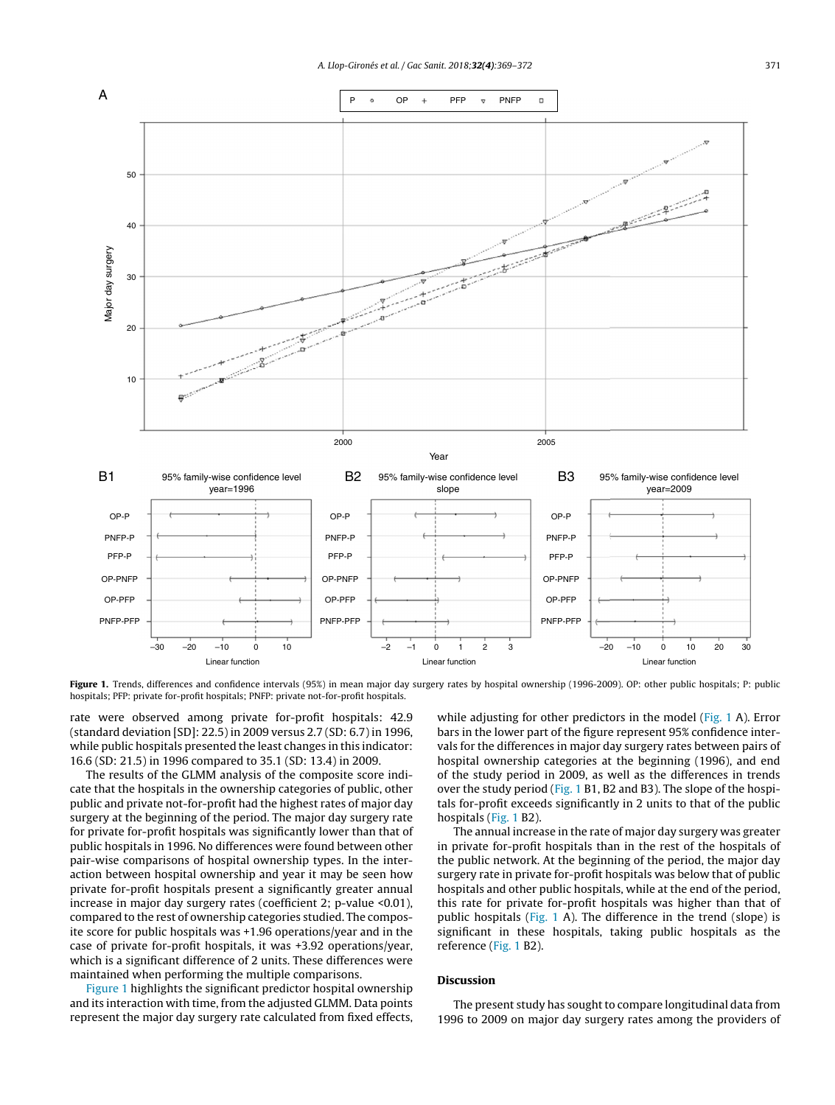

Figure 1. Trends, differences and confidence intervals (95%) in mean major day surgery rates by hospital ownership (1996-2009). OP: other public hospitals; P: public hospitals; PFP: private for-profit hospitals; PNFP: private not-for-profit hospitals.

rate were observed among private for-profit hospitals: 42.9 (standard deviation [SD]: 22.5) in 2009 versus 2.7 (SD: 6.7) in 1996, while public hospitals presented the least changes in this indicator: 16.6 (SD: 21.5) in 1996 compared to 35.1 (SD: 13.4) in 2009.

The results of the GLMM analysis of the composite score indicate that the hospitals in the ownership categories of public, other public and private not-for-profit had the highest rates of major day surgery at the beginning of the period. The major day surgery rate for private for-profit hospitals was significantly lower than that of public hospitals in 1996. No differences were found between other pair-wise comparisons of hospital ownership types. In the interaction between hospital ownership and year it may be seen how private for-profit hospitals present a significantly greater annual increase in major day surgery rates (coefficient 2; p-value <0.01), compared to the rest of ownership categories studied. The composite score for public hospitals was +1.96 operations/year and in the case of private for-profit hospitals, it was +3.92 operations/year, which is a significant difference of 2 units. These differences were maintained when performing the multiple comparisons.

Figure 1 highlights the significant predictor hospital ownership and its interaction with time, from the adjusted GLMM. Data points represent the major day surgery rate calculated from fixed effects,

while adjusting for other predictors in the model (Fig. 1 A). Error bars in the lower part of the figure represent 95% confidence intervals for the differences in major day surgery rates between pairs of hospital ownership categories at the beginning (1996), and end of the study period in 2009, as well as the differences in trends over the study period (Fig. 1 B1, B2 and B3). The slope of the hospitals for-profit exceeds significantly in 2 units to that of the public hospitals (Fig. 1 B2).

The annual increase in the rate of major day surgery was greater in private for-profit hospitals than in the rest of the hospitals of the public network. At the beginning of the period, the major day surgery rate in private for-profit hospitals was below that of public hospitals and other public hospitals, while at the end of the period, this rate for private for-profit hospitals was higher than that of public hospitals (Fig. 1 A). The difference in the trend (slope) is significant in these hospitals, taking public hospitals as the reference (Fig. 1 B2).

#### Discussion

The present study has sought to compare longitudinal data from 1996 to 2009 on major day surgery rates among the providers of